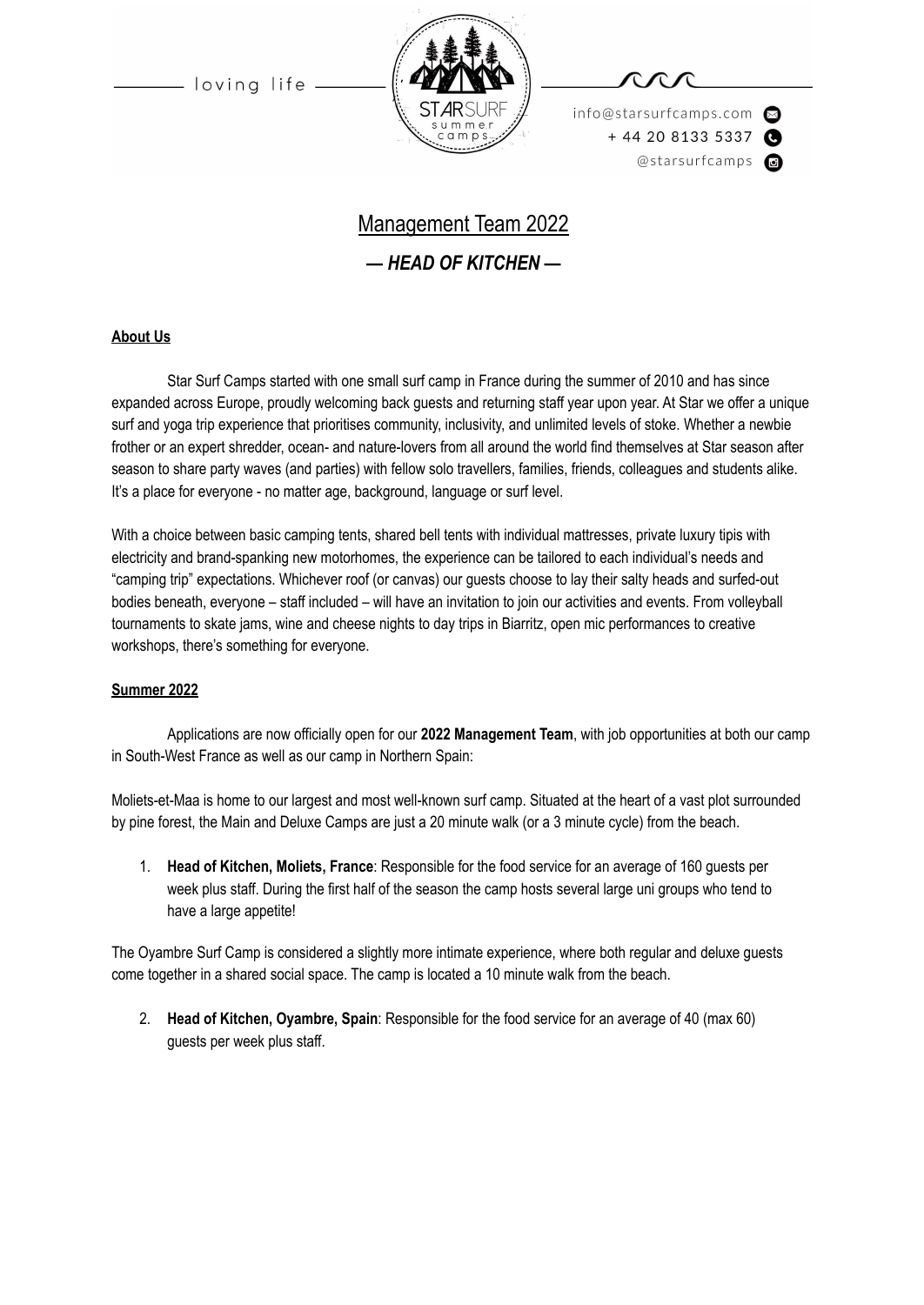loving life



info@starsurfcamps.com  $+442081335337$ @starsurfcamps @

# Management Team 2022

## *— HEAD OF KITCHEN —*

#### **About Us**

Star Surf Camps started with one small surf camp in France during the summer of 2010 and has since expanded across Europe, proudly welcoming back guests and returning staff year upon year. At Star we offer a unique surf and yoga trip experience that prioritises community, inclusivity, and unlimited levels of stoke. Whether a newbie frother or an expert shredder, ocean- and nature-lovers from all around the world find themselves at Star season after season to share party waves (and parties) with fellow solo travellers, families, friends, colleagues and students alike. It's a place for everyone - no matter age, background, language or surf level.

With a choice between basic camping tents, shared bell tents with individual mattresses, private luxury tipis with electricity and brand-spanking new motorhomes, the experience can be tailored to each individual's needs and "camping trip" expectations. Whichever roof (or canvas) our guests choose to lay their salty heads and surfed-out bodies beneath, everyone – staff included – will have an invitation to join our activities and events. From volleyball tournaments to skate jams, wine and cheese nights to day trips in Biarritz, open mic performances to creative workshops, there's something for everyone.

#### **Summer 2022**

Applications are now officially open for our **2022 Management Team**, with job opportunities at both our camp in South-West France as well as our camp in Northern Spain:

Moliets-et-Maa is home to our largest and most well-known surf camp. Situated at the heart of a vast plot surrounded by pine forest, the Main and Deluxe Camps are just a 20 minute walk (or a 3 minute cycle) from the beach.

1. **Head of Kitchen, Moliets, France**: Responsible for the food service for an average of 160 guests per week plus staff. During the first half of the season the camp hosts several large uni groups who tend to have a large appetite!

The Oyambre Surf Camp is considered a slightly more intimate experience, where both regular and deluxe guests come together in a shared social space. The camp is located a 10 minute walk from the beach.

2. **Head of Kitchen, Oyambre, Spain**: Responsible for the food service for an average of 40 (max 60) guests per week plus staff.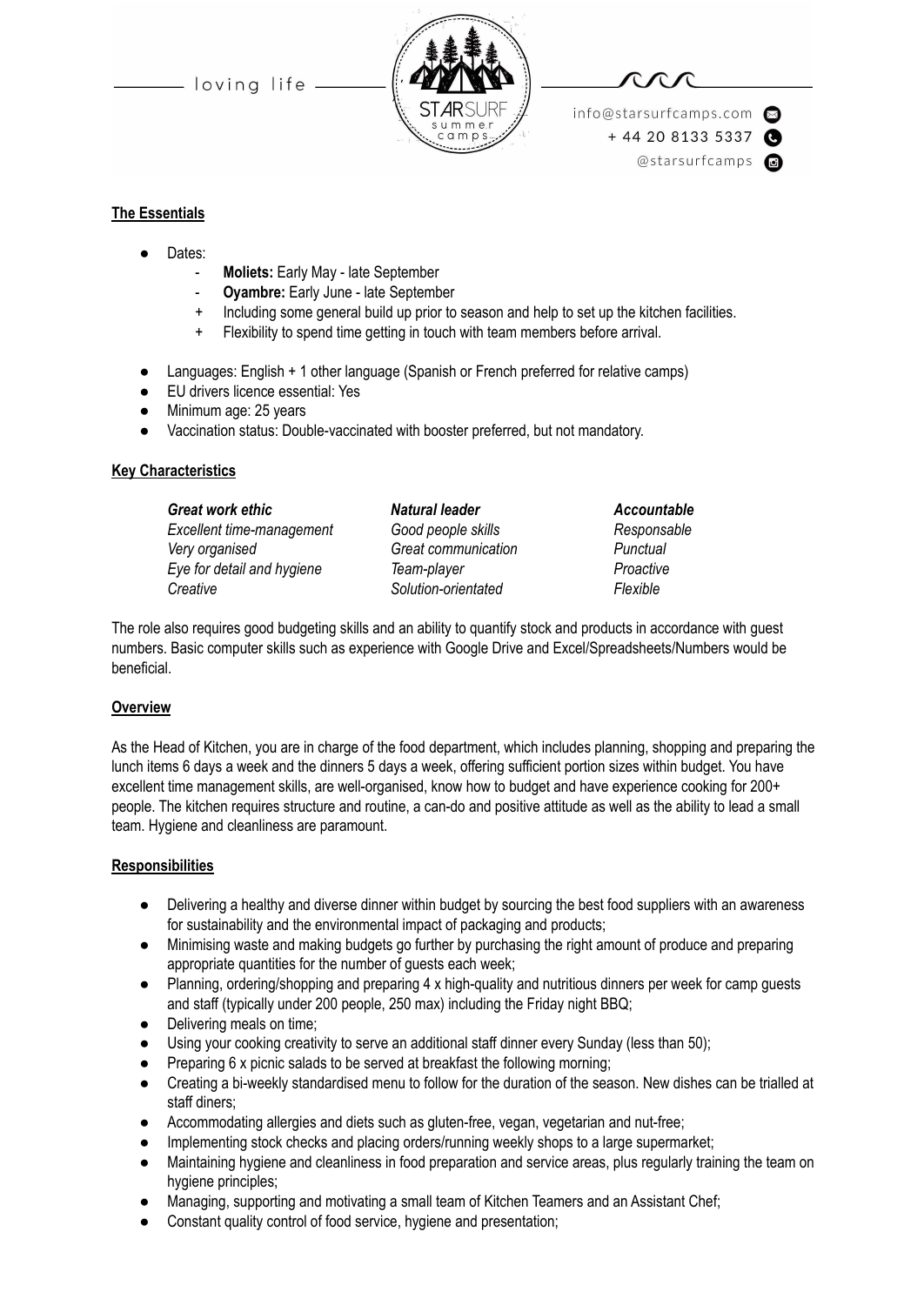- loving life -



info@starsurfcamps.com  $+442081335337$ @starsurfcamps @

#### **The Essentials**

- Dates:
	- **Moliets:** Early May late September
	- Oyambre: Early June late September
	- Including some general build up prior to season and help to set up the kitchen facilities.
	- + Flexibility to spend time getting in touch with team members before arrival.
- Languages: English + 1 other language (Spanish or French preferred for relative camps)
- EU drivers licence essential: Yes
- Minimum age: 25 years
- Vaccination status: Double-vaccinated with booster preferred, but not mandatory.

#### **Key Characteristics**

*Great work ethic Natural leader Accountable Excellent time-management Good people skills Responsable Very organised Great communication Punctual Eye for detail and hygiene Team-player Proactive Creative Solution-orientated Flexible*

The role also requires good budgeting skills and an ability to quantify stock and products in accordance with guest numbers. Basic computer skills such as experience with Google Drive and Excel/Spreadsheets/Numbers would be beneficial.

#### **Overview**

As the Head of Kitchen, you are in charge of the food department, which includes planning, shopping and preparing the lunch items 6 days a week and the dinners 5 days a week, offering sufficient portion sizes within budget. You have excellent time management skills, are well-organised, know how to budget and have experience cooking for 200+ people. The kitchen requires structure and routine, a can-do and positive attitude as well as the ability to lead a small team. Hygiene and cleanliness are paramount.

#### **Responsibilities**

- Delivering a healthy and diverse dinner within budget by sourcing the best food suppliers with an awareness for sustainability and the environmental impact of packaging and products;
- Minimising waste and making budgets go further by purchasing the right amount of produce and preparing appropriate quantities for the number of guests each week;
- Planning, ordering/shopping and preparing 4 x high-quality and nutritious dinners per week for camp guests and staff (typically under 200 people, 250 max) including the Friday night BBQ;
- Delivering meals on time;
- Using your cooking creativity to serve an additional staff dinner every Sunday (less than 50);
- Preparing 6 x picnic salads to be served at breakfast the following morning;
- Creating a bi-weekly standardised menu to follow for the duration of the season. New dishes can be trialled at staff diners;
- Accommodating allergies and diets such as gluten-free, vegan, vegetarian and nut-free;
- Implementing stock checks and placing orders/running weekly shops to a large supermarket;
- Maintaining hygiene and cleanliness in food preparation and service areas, plus regularly training the team on hygiene principles;
- Managing, supporting and motivating a small team of Kitchen Teamers and an Assistant Chef;
- Constant quality control of food service, hygiene and presentation;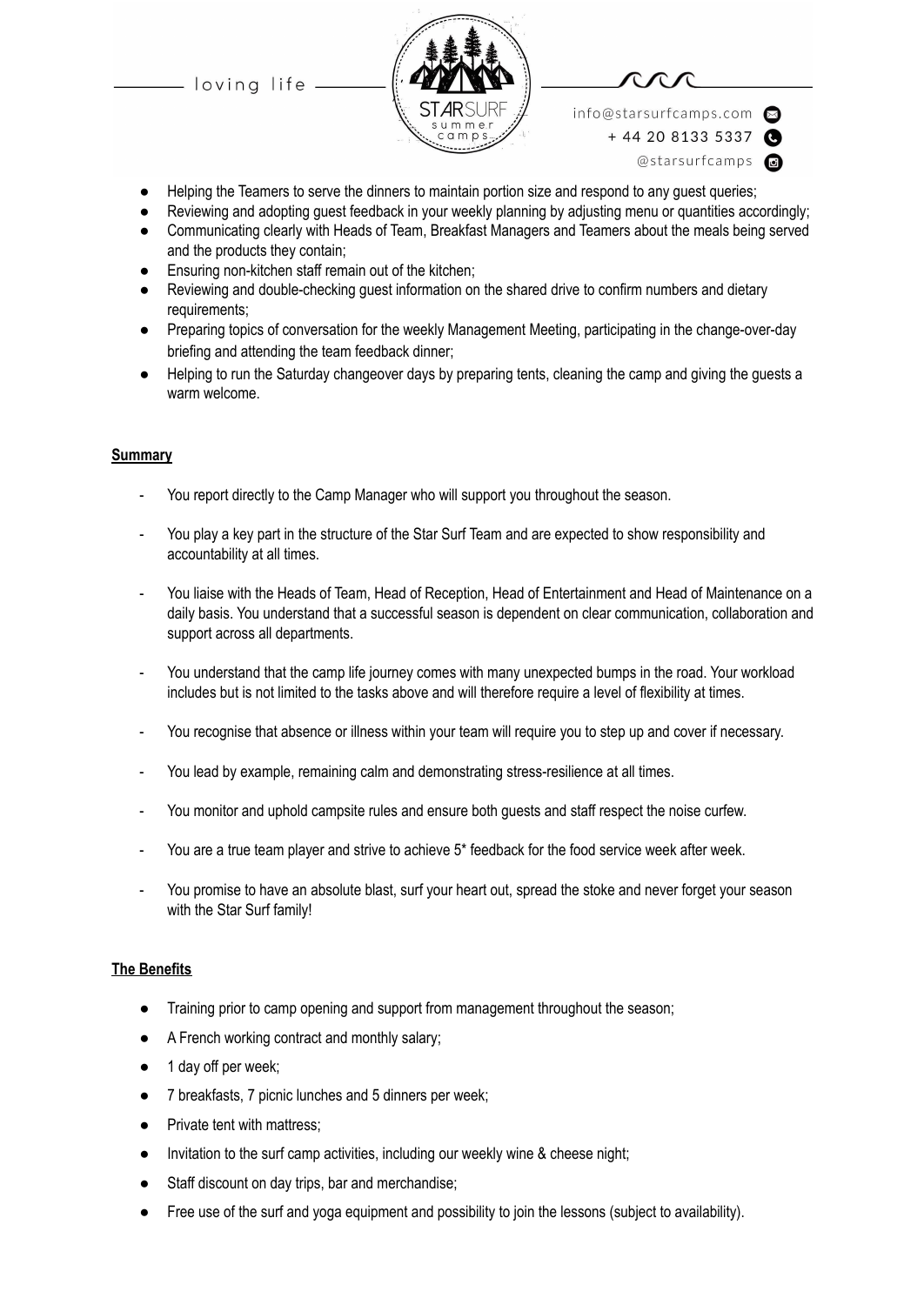loving life





info@starsurfcamps.com

- $+442081335337$ @starsurfcamps @
- Helping the Teamers to serve the dinners to maintain portion size and respond to any quest queries;
- Reviewing and adopting guest feedback in your weekly planning by adjusting menu or quantities accordingly;
- Communicating clearly with Heads of Team, Breakfast Managers and Teamers about the meals being served and the products they contain;
- Ensuring non-kitchen staff remain out of the kitchen;
- Reviewing and double-checking guest information on the shared drive to confirm numbers and dietary requirements;
- Preparing topics of conversation for the weekly Management Meeting, participating in the change-over-day briefing and attending the team feedback dinner;
- Helping to run the Saturday changeover days by preparing tents, cleaning the camp and giving the guests a warm welcome.

#### **Summary**

- You report directly to the Camp Manager who will support you throughout the season.
- You play a key part in the structure of the Star Surf Team and are expected to show responsibility and accountability at all times.
- You liaise with the Heads of Team, Head of Reception, Head of Entertainment and Head of Maintenance on a daily basis. You understand that a successful season is dependent on clear communication, collaboration and support across all departments.
- You understand that the camp life journey comes with many unexpected bumps in the road. Your workload includes but is not limited to the tasks above and will therefore require a level of flexibility at times.
- You recognise that absence or illness within your team will require you to step up and cover if necessary.
- You lead by example, remaining calm and demonstrating stress-resilience at all times.
- You monitor and uphold campsite rules and ensure both guests and staff respect the noise curfew.
- You are a true team player and strive to achieve 5\* feedback for the food service week after week.
- You promise to have an absolute blast, surf your heart out, spread the stoke and never forget your season with the Star Surf family!

#### **The Benefits**

- Training prior to camp opening and support from management throughout the season;
- A French working contract and monthly salary;
- 1 day off per week;
- 7 breakfasts, 7 picnic lunches and 5 dinners per week;
- Private tent with mattress;
- Invitation to the surf camp activities, including our weekly wine & cheese night;
- Staff discount on day trips, bar and merchandise;
- Free use of the surf and yoga equipment and possibility to join the lessons (subject to availability).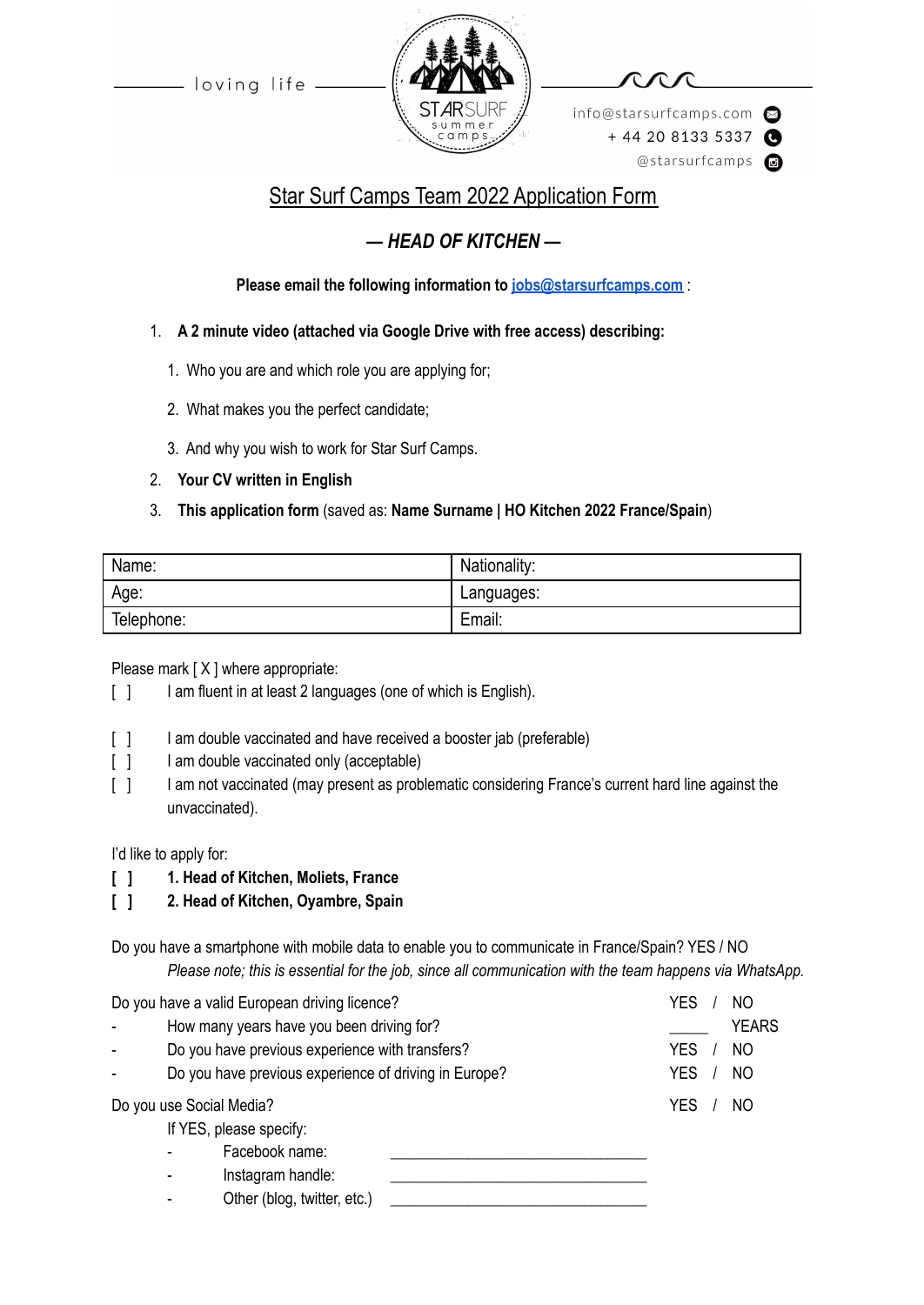- loving life -



info@starsurfcamps.com  $+442081335337$ @starsurfcamps @

# Star Surf Camps Team 2022 Application Form

# *— HEAD OF KITCHEN —*

### **Please email the following information to [jobs@starsurfcamps.com](mailto:jobs@starsurfcamps.com)** :

- 1. **A 2 minute video (attached via Google Drive with free access) describing:**
	- 1️. Who you are and which role you are applying for;
	- 2. What makes you the perfect candidate;
	- 3️. And why you wish to work for Star Surf Camps.
- 2. **Your CV written in English**

## 3. **This application form** (saved as: **Name Surname | HO Kitchen 2022 France/Spain**)

| Name:      | Nationality: |
|------------|--------------|
| Age:       | Languages:   |
| Telephone: | Email:       |

Please mark [X ] where appropriate:

- [ ] I am fluent in at least 2 languages (one of which is English).
- [  $\vert$  ] I am double vaccinated and have received a booster jab (preferable)
- [ ] I am double vaccinated only (acceptable)
- [ ] I am not vaccinated (may present as problematic considering France's current hard line against the unvaccinated).

I'd like to apply for:

- **[ ] 1. Head of Kitchen, Moliets, France**
- **[ ] 2. Head of Kitchen, Oyambre, Spain**

Do you have a smartphone with mobile data to enable you to communicate in France/Spain? YES / NO *Please note; this is essential for the job, since all communication with the team happens via WhatsApp.*

Do you have a valid European driving licence? The Contract Contract Contract Contract Contract Contract Contract Contract Contract Contract Contract Contract Contract Contract Contract Contract Contract Contract Contract C How many years have you been driving for? <br>
How many years have you been driving for? Do you have previous experience with transfers? The VES / NO Do you have previous experience of driving in Europe? YES / NO Do you use Social Media? The Social Section of the Social Africa Section 1. The Society of the Society of the S If YES, please specify: Facebook name: Instagram handle: Other (blog, twitter, etc.)